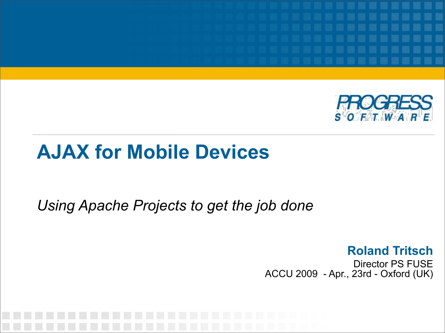

#### **AJAX for Mobile Devices**

*Using Apache Projects to get the job done*

**Roland Tritsch** Director PS FUSE ACCU 2009 - Apr., 23rd - Oxford (UK)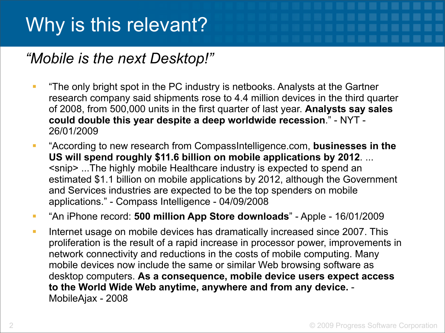#### Why is this relevant?

#### *"Mobile is the next Desktop!"*

- **The only bright spot in the PC industry is netbooks. Analysts at the Gartner** research company said shipments rose to 4.4 million devices in the third quarter of 2008, from 500,000 units in the first quarter of last year. **Analysts say sales could double this year despite a deep worldwide recession**." - NYT - 26/01/2009
- "According to new research from CompassIntelligence.com, **businesses in the US will spend roughly \$11.6 billion on mobile applications by 2012**. ... <snip> ...The highly mobile Healthcare industry is expected to spend an estimated \$1.1 billion on mobile applications by 2012, although the Government and Services industries are expected to be the top spenders on mobile applications." - Compass Intelligence - 04/09/2008
- "An iPhone record: **500 million App Store downloads**" Apple 16/01/2009
- Internet usage on mobile devices has dramatically increased since 2007. This proliferation is the result of a rapid increase in processor power, improvements in network connectivity and reductions in the costs of mobile computing. Many mobile devices now include the same or similar Web browsing software as desktop computers. **As a consequence, mobile device users expect access to the World Wide Web anytime, anywhere and from any device.** - MobileAjax - 2008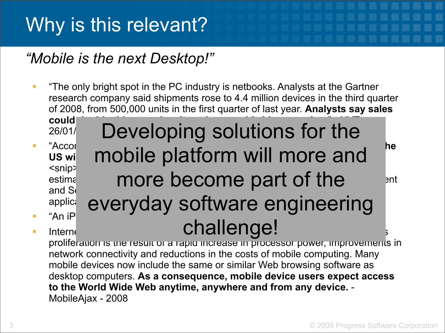#### Why is this relevant?

#### *"Mobile is the next Desktop!"*

**The only bright spot in the PC industry is netbooks. Analysts at the Gartner** research company said shipments rose to 4.4 million devices in the third quarter of 2008, from 500,000 units in the first quarter of last year. **Analysts say sales** 

Developing solutions for the

**could double the system of the double system and double recession**  $26/01/$ 

- 
- "According to new research from CompassIntelligence.com, **businesses in the**  US will mobile platform will more and <snip> ...The highly mobile Healthcare industry is expected to spend an estime  $\blacksquare$  more become part of the  $\blacksquare$  anti and  $S_t$  are expected to be the top spendid to be the top spendid to be the top spendid top spendid to be the top spendid to be the top spendid to be the top spendid to be the top spendid to be the top spendid to be the t applice everyday software engineering "An iPhone record: **500 million Apple - 16/01/2009 million App Store downloads** Internet usage on mobile devices and the challenge! more become part of the

proliferation is the result of a rapid increase in processor power, improvements in network connectivity and reductions in the costs of mobile computing. Many mobile devices now include the same or similar Web browsing software as desktop computers. **As a consequence, mobile device users expect access to the World Wide Web anytime, anywhere and from any device.** - MobileAjax - 2008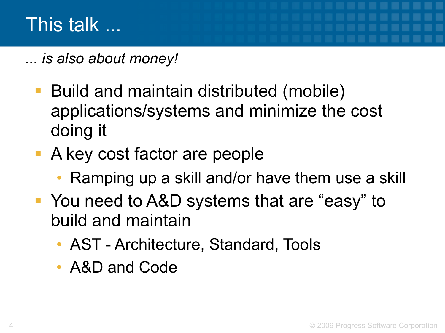*... is also about money!*

- Build and maintain distributed (mobile) applications/systems and minimize the cost doing it
- A key cost factor are people
	- Ramping up a skill and/or have them use a skill
- You need to A&D systems that are "easy" to build and maintain
	- AST Architecture, Standard, Tools
	- A&D and Code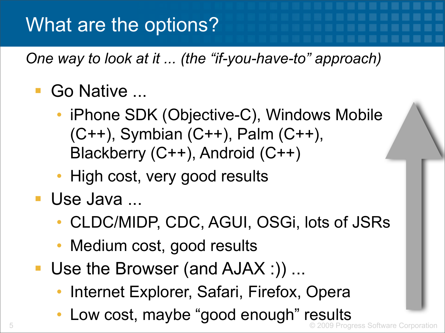#### What are the options?

*One way to look at it ... (the "if-you-have-to" approach)*

#### Go Native ...

- iPhone SDK (Objective-C), Windows Mobile (C++), Symbian (C++), Palm (C++), Blackberry (C++), Android (C++)
- High cost, very good results
- **Use Java...** 
	- CLDC/MIDP, CDC, AGUI, OSGi, lots of JSRs
	- Medium cost, good results
- Use the Browser (and AJAX :)) ...
	- Internet Explorer, Safari, Firefox, Opera
	- Low cost, maybe "good enough" results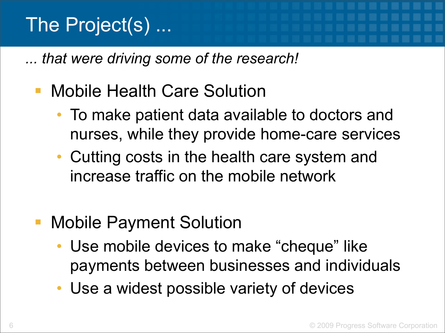#### The Project(s) ...

*... that were driving some of the research!*

#### Mobile Health Care Solution

- To make patient data available to doctors and nurses, while they provide home-care services
- Cutting costs in the health care system and increase traffic on the mobile network
- Mobile Payment Solution
	- Use mobile devices to make "cheque" like payments between businesses and individuals
	- Use a widest possible variety of devices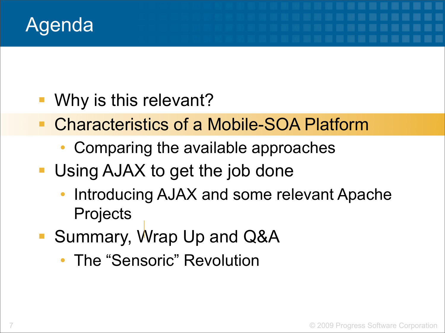

- Why is this relevant?
- Characteristics of a Mobile-SOA Platform
	- Comparing the available approaches
- **Using AJAX to get the job done** 
	- Introducing AJAX and some relevant Apache **Projects**
- Summary, Wrap Up and Q&A
	- The "Sensoric" Revolution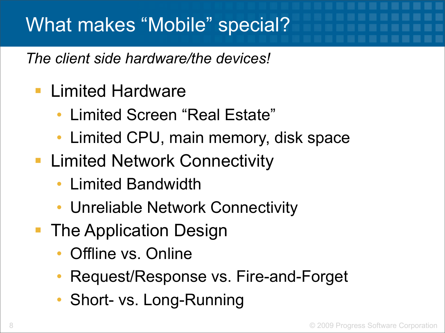#### What makes "Mobile" special?

*The client side hardware/the devices!*

- **Limited Hardware** 
	- Limited Screen "Real Estate"
	- Limited CPU, main memory, disk space
- **E.** Limited Network Connectivity
	- Limited Bandwidth
	- Unreliable Network Connectivity
- **The Application Design** 
	- Offline vs. Online
	- Request/Response vs. Fire-and-Forget
	- Short- vs. Long-Running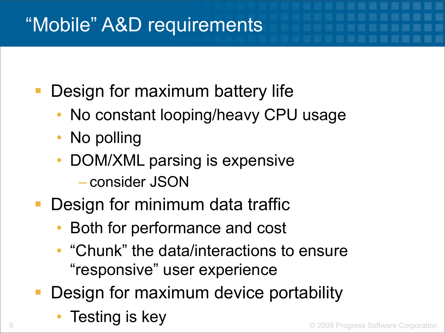#### "Mobile" A&D requirements

Design for maximum battery life

- No constant looping/heavy CPU usage
- No polling
- DOM/XML parsing is expensive – consider JSON
- Design for minimum data traffic
	- Both for performance and cost
	- "Chunk" the data/interactions to ensure "responsive" user experience
- Design for maximum device portability
	- Testing is key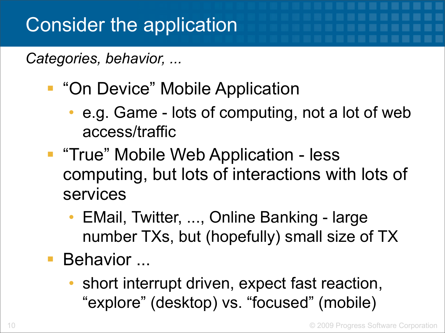*Categories, behavior, ...*

- **"On Device" Mobile Application** 
	- e.g. Game lots of computing, not a lot of web access/traffic
- **The "True" Mobile Web Application less** computing, but lots of interactions with lots of services
	- EMail, Twitter, ..., Online Banking large number TXs, but (hopefully) small size of TX
- Behavior ...
	- short interrupt driven, expect fast reaction, "explore" (desktop) vs. "focused" (mobile)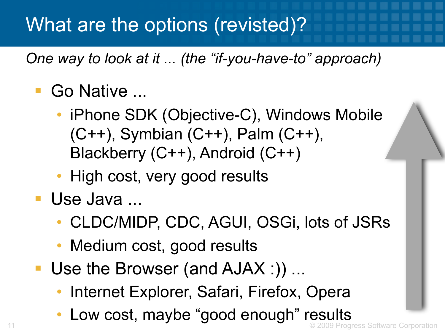#### What are the options (revisted)?

*One way to look at it ... (the "if-you-have-to" approach)*

#### Go Native ...

- iPhone SDK (Objective-C), Windows Mobile (C++), Symbian (C++), Palm (C++), Blackberry (C++), Android (C++)
- High cost, very good results
- **Use Java...** 
	- CLDC/MIDP, CDC, AGUI, OSGi, lots of JSRs
	- Medium cost, good results
- Use the Browser (and AJAX :)) ...
	- Internet Explorer, Safari, Firefox, Opera
- 11 © 2009 Progress Software Corporation • Low cost, maybe "good enough" results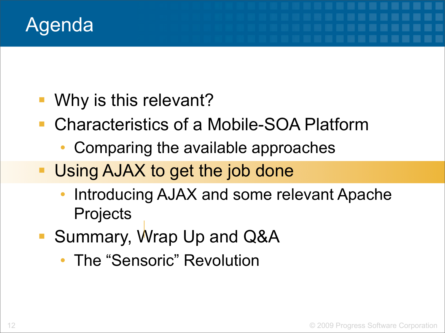

- Why is this relevant?
- Characteristics of a Mobile-SOA Platform
	- Comparing the available approaches
- Using AJAX to get the job done
	- Introducing AJAX and some relevant Apache **Projects**
- Summary, Wrap Up and Q&A
	- The "Sensoric" Revolution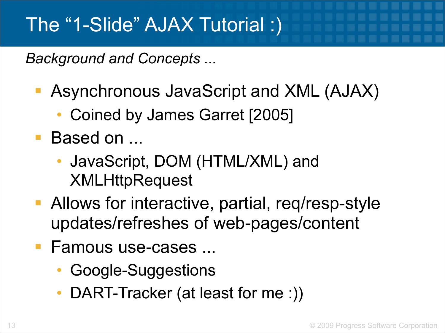#### The "1-Slide" AJAX Tutorial :)

*Background and Concepts ...*

- Asynchronous JavaScript and XML (AJAX)
	- Coined by James Garret [2005]
- Based on ...
	- JavaScript, DOM (HTML/XML) and **XMLHttpRequest**
- **Allows for interactive, partial, req/resp-style** updates/refreshes of web-pages/content
- Famous use-cases ...
	- Google-Suggestions
	- DART-Tracker (at least for me :))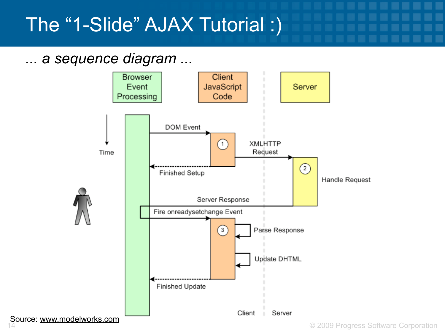#### The "1-Slide" AJAX Tutorial :)

#### *... a sequence diagram ...*

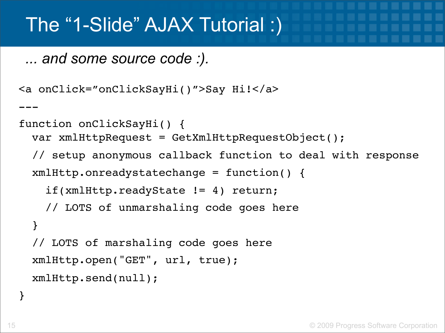#### The "1-Slide" AJAX Tutorial :)

*... and some source code :).*

```
<a onClick="onClickSayHi()">Say Hi!</a>
---
function onClickSayHi() { 
  var xmlHttpRequest = GetXmlHttpRequestObject(); 
   // setup anonymous callback function to deal with response 
   xmlHttp.onreadystatechange = function() { 
     if(xmlHttp.readyState != 4) return; 
     // LOTS of unmarshaling code goes here 
   } 
   // LOTS of marshaling code goes here 
   xmlHttp.open("GET", url, true); 
   xmlHttp.send(null);
```
}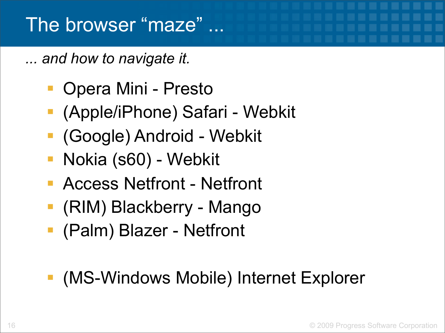#### The browser "maze" ...

*... and how to navigate it.*

- Opera Mini Presto
- (Apple/iPhone) Safari Webkit
- (Google) Android Webkit
- Nokia (s60) Webkit
- Access Netfront Netfront
- (RIM) Blackberry Mango
- (Palm) Blazer Netfront
- (MS-Windows Mobile) Internet Explorer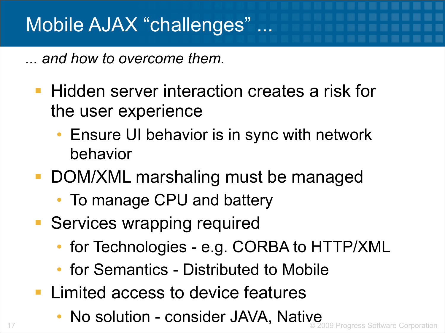*... and how to overcome them.*

- **Hidden server interaction creates a risk for** the user experience
	- Ensure UI behavior is in sync with network behavior
- DOM/XML marshaling must be managed
	- To manage CPU and battery
- Services wrapping required
	- for Technologies e.g. CORBA to HTTP/XML
	- for Semantics Distributed to Mobile
- **Limited access to device features**
- 17 © 2009 Progress Software Corporation No solution - consider JAVA, Native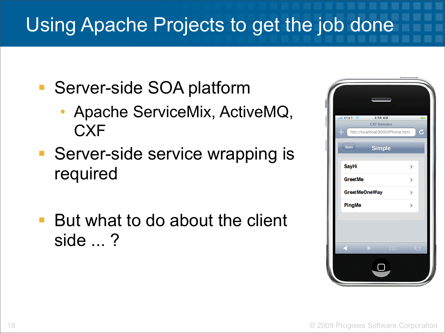#### Using Apache Projects to get the job done

- Server-side SOA platform
	- Apache ServiceMix, ActiveMQ, **CXF**
- Server-side service wrapping is required
- But what to do about the client side ... ?

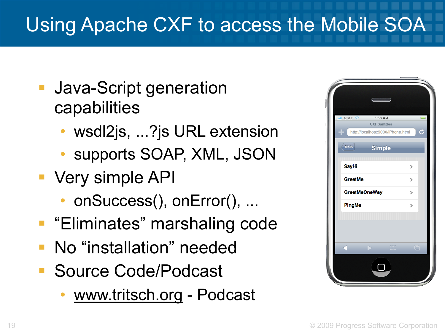### Using Apache CXF to access the Mobile SOA

- **Java-Script generation** capabilities
	- wsdl2js, ...?js URL extension
	- supports SOAP, XML, JSON
- Very simple API
	- onSuccess(), onError(), ...
- **Eliminates**" marshaling code
- **No** "installation" needed
- **Source Code/Podcast** 
	- [www.tritsch.org](http://www.tritsch.org)  Podcast

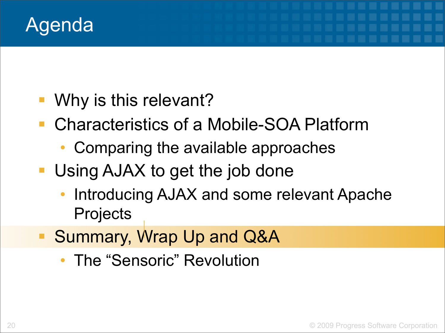

- Why is this relevant?
- Characteristics of a Mobile-SOA Platform
	- Comparing the available approaches
- **Using AJAX to get the job done** 
	- Introducing AJAX and some relevant Apache **Projects**
- Summary, Wrap Up and Q&A
	- The "Sensoric" Revolution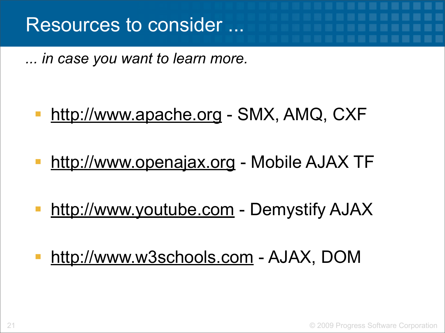*... in case you want to learn more.*

#### <http://www.apache.org>- SMX, AMQ, CXF

- <http://www.openajax.org> Mobile AJAX TF
- <http://www.youtube.com> Demystify AJAX
- <http://www.w3schools.com> AJAX, DOM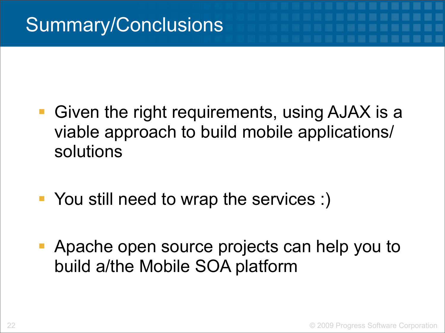- Given the right requirements, using AJAX is a viable approach to build mobile applications/ solutions
- You still need to wrap the services :)
- Apache open source projects can help you to build a/the Mobile SOA platform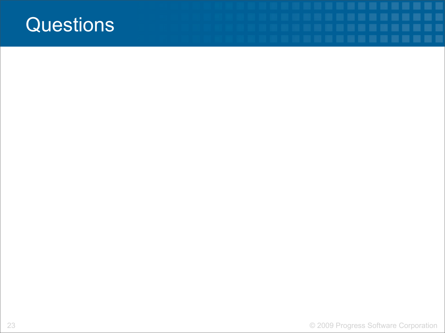#### **Questions**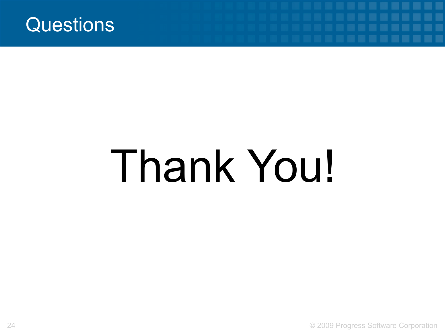

# Thank You!